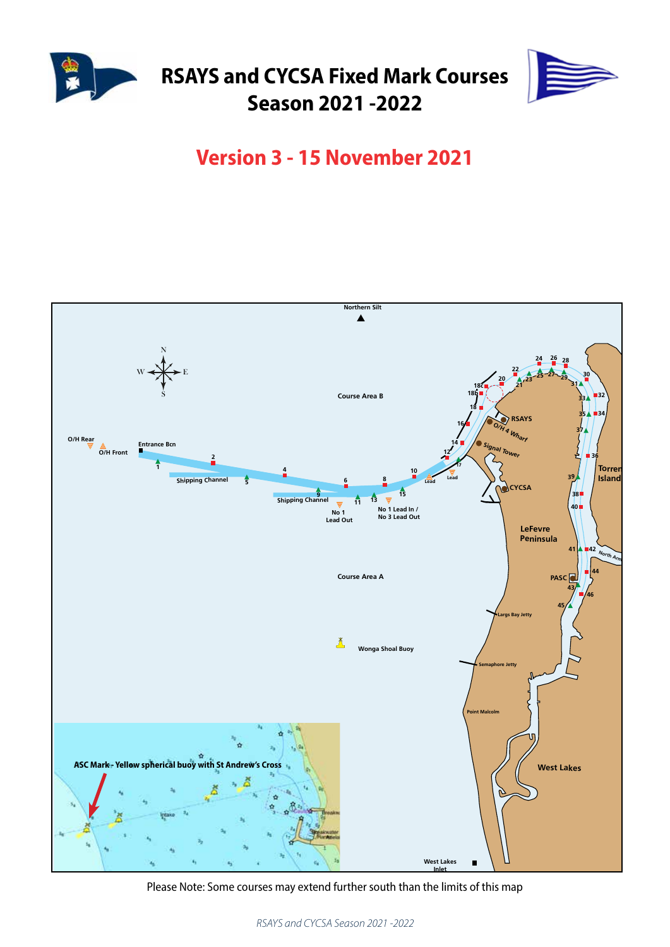

# **RSAYS and CYCSA Fixed Mark Courses Season 2021 -2022**



## **Version 3 - 15 November 2021**



Please Note: Some courses may extend further south than the limits of this map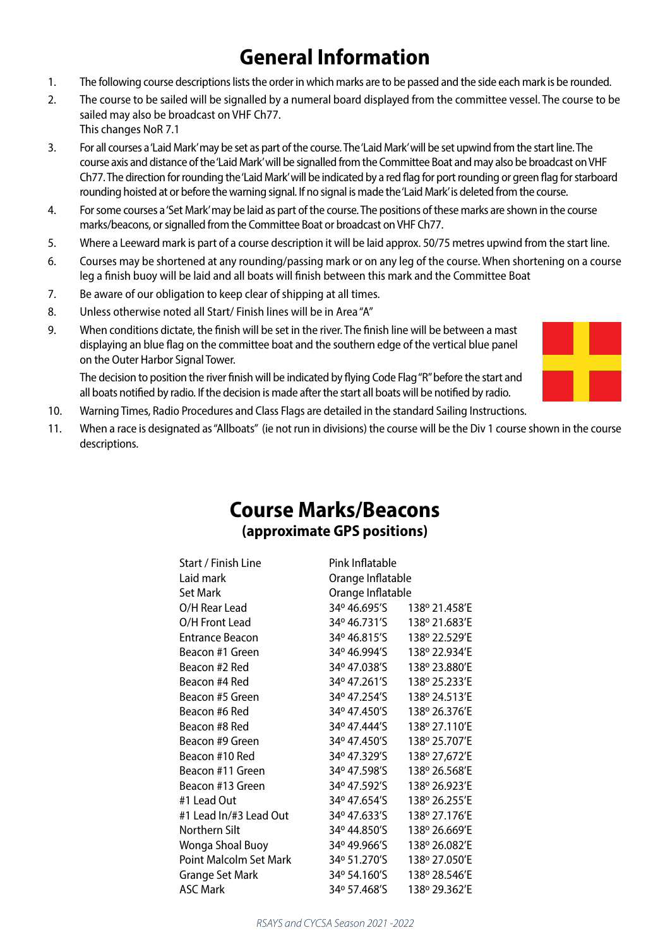# **General Information**

- 1. The following course descriptions lists the order in which marks are to be passed and the side each mark is be rounded.
- 2. The course to be sailed will be signalled by a numeral board displayed from the committee vessel. The course to be sailed may also be broadcast on VHF Ch77.
	- This changes NoR 7.1
- 3. For all courses a 'Laid Mark' may be set as part of the course. The 'Laid Mark' will be set upwind from the start line. The course axis and distance of the 'Laid Mark' will be signalled from the Committee Boat and may also be broadcast on VHF Ch77. The direction for rounding the 'Laid Mark' will be indicated by a red flag for port rounding or green flag for starboard rounding hoisted at or before the warning signal. If no signal is made the 'Laid Mark' is deleted from the course.
- 4. For some courses a 'Set Mark' may be laid as part of the course. The positions of these marks are shown in the course marks/beacons, or signalled from the Committee Boat or broadcast on VHF Ch77.
- 5. Where a Leeward mark is part of a course description it will be laid approx. 50/75 metres upwind from the start line.
- 6. Courses may be shortened at any rounding/passing mark or on any leg of the course. When shortening on a course leg a finish buoy will be laid and all boats will finish between this mark and the Committee Boat
- 7. Be aware of our obligation to keep clear of shipping at all times.
- 8. Unless otherwise noted all Start/ Finish lines will be in Area "A"
- 9. When conditions dictate, the finish will be set in the river. The finish line will be between a mast displaying an blue flag on the committee boat and the southern edge of the vertical blue panel on the Outer Harbor Signal Tower.

The decision to position the river finish will be indicated by flying Code Flag "R" before the start and all boats notified by radio. If the decision is made after the start all boats will be notified by radio.

- 10. Warning Times, Radio Procedures and Class Flags are detailed in the standard Sailing Instructions.
- 11. When a race is designated as "Allboats" (ie not run in divisions) the course will be the Div 1 course shown in the course descriptions.

### **Course Marks/Beacons (approximate GPS positions)**

| Start / Finish Line           | Pink Inflatable   |               |
|-------------------------------|-------------------|---------------|
| Laid mark                     | Orange Inflatable |               |
| <b>Set Mark</b>               | Orange Inflatable |               |
| O/H Rear Lead                 | 34º 46.695′S      | 138º 21.458'E |
| O/H Front Lead                | 34º 46.731′S      | 138° 21.683'E |
| <b>Entrance Beacon</b>        | 34º 46.815'S      | 138° 22.529'E |
| Beacon #1 Green               | 34º 46.994′S      | 138° 22.934'E |
| Beacon #2 Red                 | 34º 47.038'S      | 138° 23.880'E |
| Beacon #4 Red                 | 34º 47.261'S      | 138° 25.233'E |
| Beacon #5 Green               | 34º 47.254'S      | 138° 24.513'E |
| Beacon #6 Red                 | 34º 47.450'S      | 138º 26.376'E |
| Beacon #8 Red                 | 34º 47.444′S      | 138º 27.110'E |
| Beacon #9 Green               | 34º 47.450'S      | 138° 25.707'E |
| Beacon #10 Red                | 34° 47.329'S      | 138º 27,672'E |
| Beacon #11 Green              | 34° 47.598'S      | 138º 26.568'E |
| Beacon #13 Green              | 34° 47.592'S      | 138° 26.923'E |
| #1 Lead Out                   | 34º 47.654'S      | 138° 26.255'E |
| #1 Lead In/#3 Lead Out        | 34º 47.633'S      | 138° 27.176'E |
| Northern Silt                 | 34º 44.850'S      | 138° 26.669'E |
| Wonga Shoal Buoy              | 34° 49.966'S      | 138° 26.082'E |
| <b>Point Malcolm Set Mark</b> | 34º 51.270'S      | 138º 27.050'E |
| Grange Set Mark               | 34º 54.160'S      | 138° 28.546'E |
| <b>ASC Mark</b>               | 34º 57.468'S      | 138º 29.362'E |

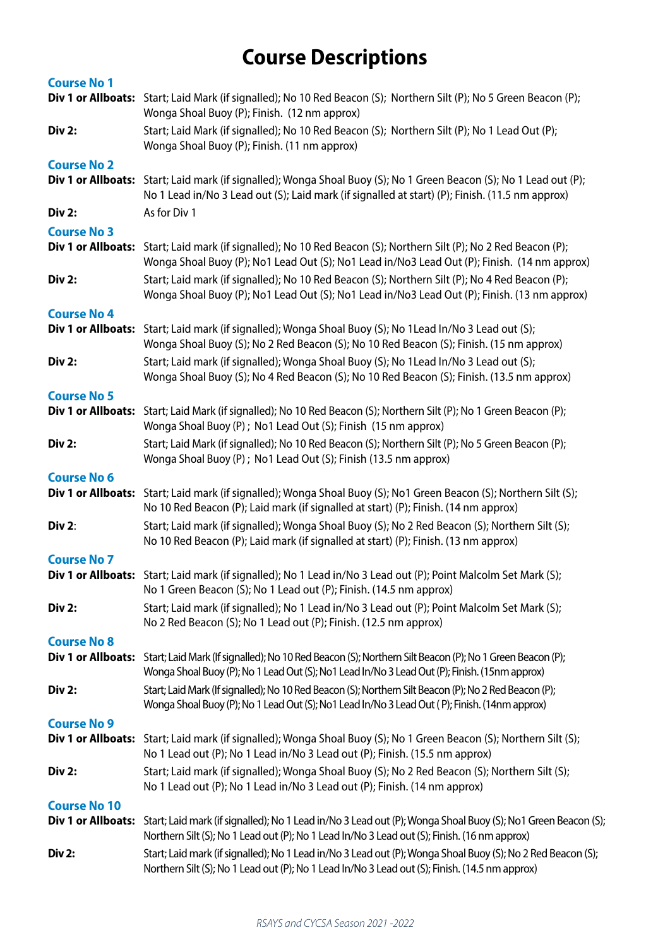# **Course Descriptions**

| <b>Course No 1</b>        |                                                                                                                                                                                                               |
|---------------------------|---------------------------------------------------------------------------------------------------------------------------------------------------------------------------------------------------------------|
|                           | Div 1 or Allboats: Start; Laid Mark (if signalled); No 10 Red Beacon (S); Northern Silt (P); No 5 Green Beacon (P);<br>Wonga Shoal Buoy (P); Finish. (12 nm approx)                                           |
| <b>Div 2:</b>             | Start; Laid Mark (if signalled); No 10 Red Beacon (S); Northern Silt (P); No 1 Lead Out (P);<br>Wonga Shoal Buoy (P); Finish. (11 nm approx)                                                                  |
| <b>Course No 2</b>        |                                                                                                                                                                                                               |
| Div 1 or Allboats:        | Start; Laid mark (if signalled); Wonga Shoal Buoy (S); No 1 Green Beacon (S); No 1 Lead out (P);<br>No 1 Lead in/No 3 Lead out (S); Laid mark (if signalled at start) (P); Finish. (11.5 nm approx)           |
| <b>Div 2:</b>             | As for Div 1                                                                                                                                                                                                  |
| <b>Course No 3</b>        |                                                                                                                                                                                                               |
| Div 1 or Allboats:        | Start; Laid mark (if signalled); No 10 Red Beacon (S); Northern Silt (P); No 2 Red Beacon (P);<br>Wonga Shoal Buoy (P); No1 Lead Out (S); No1 Lead in/No3 Lead Out (P); Finish. (14 nm approx)                |
| <b>Div 2:</b>             | Start; Laid mark (if signalled); No 10 Red Beacon (S); Northern Silt (P); No 4 Red Beacon (P);<br>Wonga Shoal Buoy (P); No1 Lead Out (S); No1 Lead in/No3 Lead Out (P); Finish. (13 nm approx)                |
| <b>Course No 4</b>        |                                                                                                                                                                                                               |
| Div 1 or Allboats:        | Start; Laid mark (if signalled); Wonga Shoal Buoy (S); No 1Lead In/No 3 Lead out (S);<br>Wonga Shoal Buoy (S); No 2 Red Beacon (S); No 10 Red Beacon (S); Finish. (15 nm approx)                              |
| <b>Div 2:</b>             | Start; Laid mark (if signalled); Wonga Shoal Buoy (S); No 1Lead In/No 3 Lead out (S);<br>Wonga Shoal Buoy (S); No 4 Red Beacon (S); No 10 Red Beacon (S); Finish. (13.5 nm approx)                            |
| <b>Course No 5</b>        |                                                                                                                                                                                                               |
| Div 1 or Allboats:        | Start; Laid Mark (if signalled); No 10 Red Beacon (S); Northern Silt (P); No 1 Green Beacon (P);<br>Wonga Shoal Buoy (P); No1 Lead Out (S); Finish (15 nm approx)                                             |
| <b>Div 2:</b>             | Start; Laid Mark (if signalled); No 10 Red Beacon (S); Northern Silt (P); No 5 Green Beacon (P);<br>Wonga Shoal Buoy (P); No1 Lead Out (S); Finish (13.5 nm approx)                                           |
| <b>Course No 6</b>        |                                                                                                                                                                                                               |
| Div 1 or Allboats:        | Start; Laid mark (if signalled); Wonga Shoal Buoy (S); No1 Green Beacon (S); Northern Silt (S);<br>No 10 Red Beacon (P); Laid mark (if signalled at start) (P); Finish. (14 nm approx)                        |
| <b>Div 2:</b>             | Start; Laid mark (if signalled); Wonga Shoal Buoy (S); No 2 Red Beacon (S); Northern Silt (S);<br>No 10 Red Beacon (P); Laid mark (if signalled at start) (P); Finish. (13 nm approx)                         |
| <b>Course No 7</b>        |                                                                                                                                                                                                               |
|                           | Div 1 or Allboats: Start; Laid mark (if signalled); No 1 Lead in/No 3 Lead out (P); Point Malcolm Set Mark (S);<br>No 1 Green Beacon (S); No 1 Lead out (P); Finish. (14.5 nm approx)                         |
| <b>Div 2:</b>             | Start; Laid mark (if signalled); No 1 Lead in/No 3 Lead out (P); Point Malcolm Set Mark (S);<br>No 2 Red Beacon (S); No 1 Lead out (P); Finish. (12.5 nm approx)                                              |
| <b>Course No 8</b>        |                                                                                                                                                                                                               |
| <b>Div 1 or Allboats:</b> | Start; Laid Mark (If signalled); No 10 Red Beacon (S); Northern Silt Beacon (P); No 1 Green Beacon (P);<br>Wonga Shoal Buoy (P); No 1 Lead Out (S); No 1 Lead In/No 3 Lead Out (P); Finish. (15nm approx)     |
| Div 2:                    | Start; Laid Mark (If signalled); No 10 Red Beacon (S); Northern Silt Beacon (P); No 2 Red Beacon (P);<br>Wonga Shoal Buoy (P); No 1 Lead Out (S); No 1 Lead In/No 3 Lead Out (P); Finish. (14nm approx)       |
| <b>Course No 9</b>        |                                                                                                                                                                                                               |
| <b>Div 1 or Allboats:</b> | Start; Laid mark (if signalled); Wonga Shoal Buoy (S); No 1 Green Beacon (S); Northern Silt (S);<br>No 1 Lead out (P); No 1 Lead in/No 3 Lead out (P); Finish. (15.5 nm approx)                               |
| <b>Div 2:</b>             | Start; Laid mark (if signalled); Wonga Shoal Buoy (S); No 2 Red Beacon (S); Northern Silt (S);<br>No 1 Lead out (P); No 1 Lead in/No 3 Lead out (P); Finish. (14 nm approx)                                   |
| <b>Course No 10</b>       |                                                                                                                                                                                                               |
| <b>Div 1 or Allboats:</b> | Start; Laid mark (if signalled); No 1 Lead in/No 3 Lead out (P); Wonga Shoal Buoy (S); No1 Green Beacon (S);<br>Northern Silt (S); No 1 Lead out (P); No 1 Lead In/No 3 Lead out (S); Finish. (16 nm approx)  |
| <b>Div 2:</b>             | Start; Laid mark (if signalled); No 1 Lead in/No 3 Lead out (P); Wonga Shoal Buoy (S); No 2 Red Beacon (S);<br>Northern Silt (S); No 1 Lead out (P); No 1 Lead In/No 3 Lead out (S); Finish. (14.5 nm approx) |